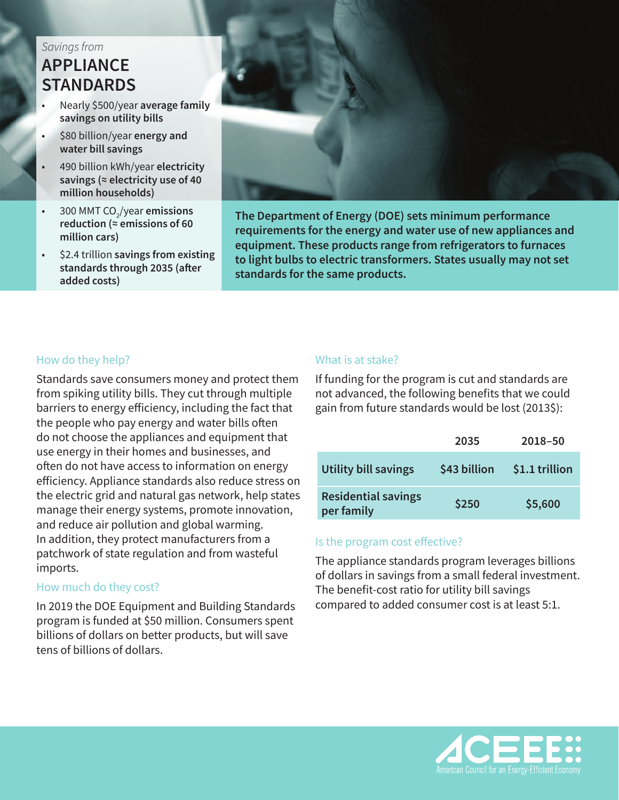# *Savings from* **APPLIANCE STANDARDS**

- Nearly \$500/year **average family savings on utility bills**
- \$80 billion/year **energy and water bill savings**
- 490 billion kWh/year **electricity savings (≈ electricity use of 40 million households)**
- 300 MMT CO<sub>2</sub>/year **emissions reduction (≈ emissions of 60 million cars)**
- \$2.4 trillion **savings from existing standards through 2035 (after added costs)**



**The Department of Energy (DOE) sets minimum performance requirements for the energy and water use of new appliances and equipment. These products range from refrigerators to furnaces to light bulbs to electric transformers. States usually may not set standards for the same products.**

## How do they help?

Standards save consumers money and protect them from spiking utility bills. They cut through multiple barriers to energy efficiency, including the fact that the people who pay energy and water bills often do not choose the appliances and equipment that use energy in their homes and businesses, and often do not have access to information on energy efficiency. Appliance standards also reduce stress on the electric grid and natural gas network, help states manage their energy systems, promote innovation, and reduce air pollution and global warming. In addition, they protect manufacturers from a patchwork of state regulation and from wasteful imports.

#### How much do they cost?

In 2019 the DOE Equipment and Building Standards program is funded at \$50 million. Consumers spent billions of dollars on better products, but will save tens of billions of dollars.

### What is at stake?

If funding for the program is cut and standards are not advanced, the following benefits that we could gain from future standards would be lost (2013\$):

|                                          | 2035         | 2018-50        |
|------------------------------------------|--------------|----------------|
| <b>Utility bill savings</b>              | \$43 billion | \$1.1 trillion |
| <b>Residential savings</b><br>per family | \$250        | \$5,600        |

## Is the program cost effective?

The appliance standards program leverages billions of dollars in savings from a small federal investment. The benefit-cost ratio for utility bill savings compared to added consumer cost is at least 5:1.